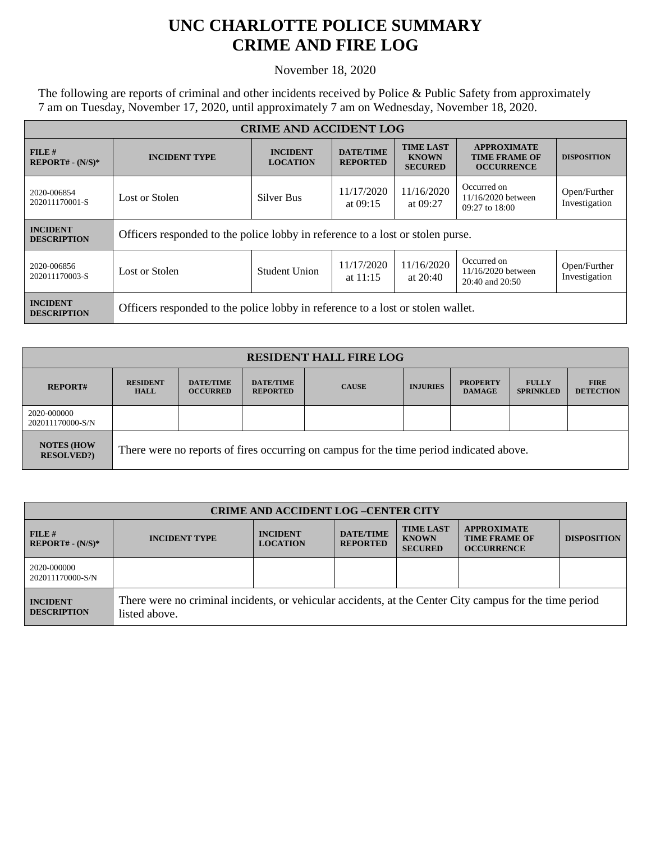## **UNC CHARLOTTE POLICE SUMMARY CRIME AND FIRE LOG**

November 18, 2020

The following are reports of criminal and other incidents received by Police & Public Safety from approximately 7 am on Tuesday, November 17, 2020, until approximately 7 am on Wednesday, November 18, 2020.

| <b>CRIME AND ACCIDENT LOG</b>         |                                                                                 |                                    |                                     |                                                    |                                                                 |                               |  |
|---------------------------------------|---------------------------------------------------------------------------------|------------------------------------|-------------------------------------|----------------------------------------------------|-----------------------------------------------------------------|-------------------------------|--|
| FILE H<br>$REPORT# - (N/S)*$          | <b>INCIDENT TYPE</b>                                                            | <b>INCIDENT</b><br><b>LOCATION</b> | <b>DATE/TIME</b><br><b>REPORTED</b> | <b>TIME LAST</b><br><b>KNOWN</b><br><b>SECURED</b> | <b>APPROXIMATE</b><br><b>TIME FRAME OF</b><br><b>OCCURRENCE</b> | <b>DISPOSITION</b>            |  |
| 2020-006854<br>202011170001-S         | Lost or Stolen<br>Silver Bus                                                    |                                    | 11/17/2020<br>at $09:15$            | 11/16/2020<br>at 09:27                             | Occurred on<br>11/16/2020 between<br>$09:27$ to $18:00$         | Open/Further<br>Investigation |  |
| <b>INCIDENT</b><br><b>DESCRIPTION</b> | Officers responded to the police lobby in reference to a lost or stolen purse.  |                                    |                                     |                                                    |                                                                 |                               |  |
| 2020-006856<br>202011170003-S         | Lost or Stolen                                                                  | Student Union                      | 11/17/2020<br>at $11:15$            | 11/16/2020<br>at $20:40$                           | Occurred on<br>11/16/2020 between<br>20:40 and 20:50            | Open/Further<br>Investigation |  |
| <b>INCIDENT</b><br><b>DESCRIPTION</b> | Officers responded to the police lobby in reference to a lost or stolen wallet. |                                    |                                     |                                                    |                                                                 |                               |  |

| <b>RESIDENT HALL FIRE LOG</b>          |                                                                                         |                                     |                                     |              |                 |                                  |                                  |                                 |
|----------------------------------------|-----------------------------------------------------------------------------------------|-------------------------------------|-------------------------------------|--------------|-----------------|----------------------------------|----------------------------------|---------------------------------|
| <b>REPORT#</b>                         | <b>RESIDENT</b><br><b>HALL</b>                                                          | <b>DATE/TIME</b><br><b>OCCURRED</b> | <b>DATE/TIME</b><br><b>REPORTED</b> | <b>CAUSE</b> | <b>INJURIES</b> | <b>PROPERTY</b><br><b>DAMAGE</b> | <b>FULLY</b><br><b>SPRINKLED</b> | <b>FIRE</b><br><b>DETECTION</b> |
| 2020-000000<br>202011170000-S/N        |                                                                                         |                                     |                                     |              |                 |                                  |                                  |                                 |
| <b>NOTES (HOW</b><br><b>RESOLVED?)</b> | There were no reports of fires occurring on campus for the time period indicated above. |                                     |                                     |              |                 |                                  |                                  |                                 |

| <b>CRIME AND ACCIDENT LOG-CENTER CITY</b> |                                                                                                                          |                                    |                                     |                                                    |                                                                 |                    |  |
|-------------------------------------------|--------------------------------------------------------------------------------------------------------------------------|------------------------------------|-------------------------------------|----------------------------------------------------|-----------------------------------------------------------------|--------------------|--|
| FILE#<br>$REPORT# - (N/S)*$               | <b>INCIDENT TYPE</b>                                                                                                     | <b>INCIDENT</b><br><b>LOCATION</b> | <b>DATE/TIME</b><br><b>REPORTED</b> | <b>TIME LAST</b><br><b>KNOWN</b><br><b>SECURED</b> | <b>APPROXIMATE</b><br><b>TIME FRAME OF</b><br><b>OCCURRENCE</b> | <b>DISPOSITION</b> |  |
| 2020-000000<br>202011170000-S/N           |                                                                                                                          |                                    |                                     |                                                    |                                                                 |                    |  |
| <b>INCIDENT</b><br><b>DESCRIPTION</b>     | There were no criminal incidents, or vehicular accidents, at the Center City campus for the time period<br>listed above. |                                    |                                     |                                                    |                                                                 |                    |  |